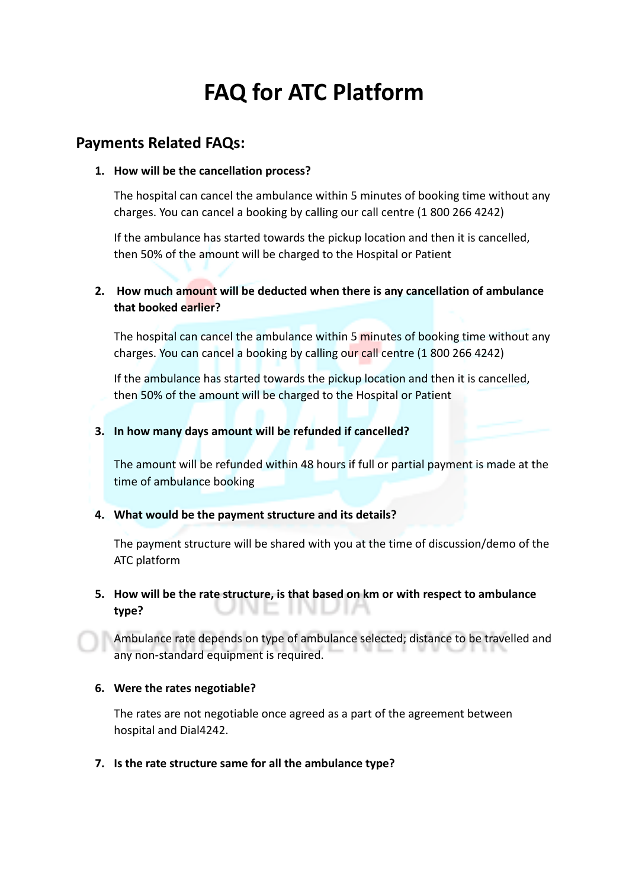# **FAQ for ATC Platform**

# **Payments Related FAQs:**

#### **1. How will be the cancellation process?**

The hospital can cancel the ambulance within 5 minutes of booking time without any charges. You can cancel a booking by calling our call centre (1 800 266 4242)

If the ambulance has started towards the pickup location and then it is cancelled, then 50% of the amount will be charged to the Hospital or Patient

## **2. How much amount will be deducted when there is any cancellation of ambulance that booked earlier?**

The hospital can cancel the ambulance within 5 minutes of booking time without any charges. You can cancel a booking by calling our call centre (1 800 266 4242)

If the ambulance has started towards the pickup location and then it is cancelled, then 50% of the amount will be charged to the Hospital or Patient

#### **3. In how many days amount will be refunded if cancelled?**

The amount will be refunded within 48 hours if full or partial payment is made at the time of ambulance booking

## **4. What would be the payment structure and its details?**

The payment structure will be shared with you at the time of discussion/demo of the ATC platform

## **5. How will be the rate structure, is that based on km or with respect to ambulance type?**

Ambulance rate depends on type of ambulance selected; distance to be travelled and any non-standard equipment is required.

#### **6. Were the rates negotiable?**

The rates are not negotiable once agreed as a part of the agreement between hospital and Dial4242.

**7. Is the rate structure same for all the ambulance type?**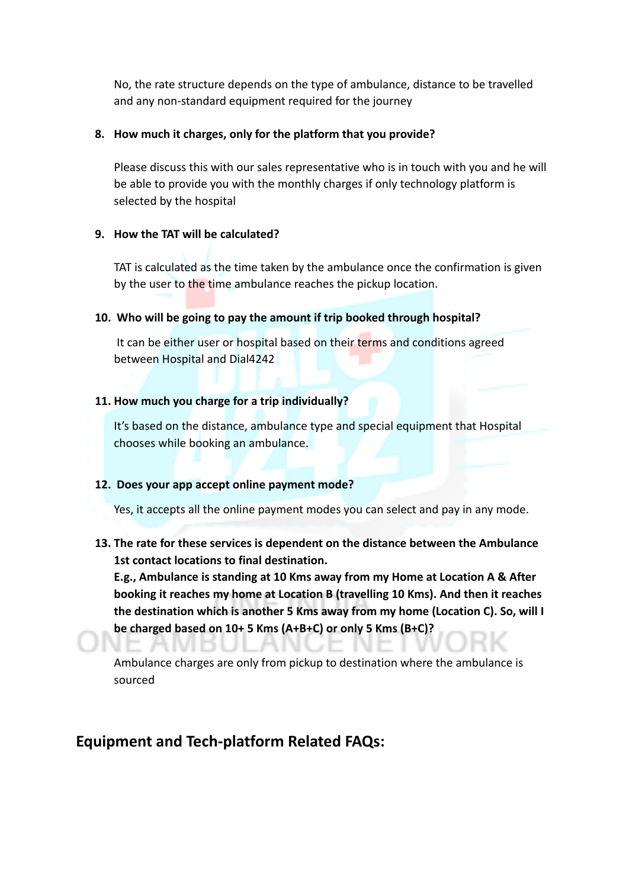No, the rate structure depends on the type of ambulance, distance to be travelled and any non-standard equipment required for the journey

#### **8. How much it charges, only for the platform that you provide?**

Please discuss this with our sales representative who is in touch with you and he will be able to provide you with the monthly charges if only technology platform is selected by the hospital

## **9. How the TAT will be calculated?**

TAT is calculated as the time taken by the ambulance once the confirmation is given by the user to the time ambulance reaches the pickup location.

## **10. Who will be going to pay the amount if trip booked through hospital?**

It can be either user or hospital based on their terms and conditions agreed between Hospital and Dial4242

## **11. How much you charge for a trip individually?**

It's based on the distance, ambulance type and special equipment that Hospital chooses while booking an ambulance.

## **12. Does your app accept online payment mode?**

Yes, it accepts all the online payment modes you can select and pay in any mode.

## **13. The rate for these services is dependent on the distance between the Ambulance 1st contact locations to final destination.**

**E.g., Ambulance is standing at 10 Kms away from my Home at Location A & After booking it reaches my home at Location B (travelling 10 Kms). And then it reaches the destination which is another 5 Kms away from my home (Location C). So, will I be charged based on 10+ 5 Kms (A+B+C) or only 5 Kms (B+C)?**

Ambulance charges are only from pickup to destination where the ambulance is sourced

# **Equipment and Tech-platform Related FAQs:**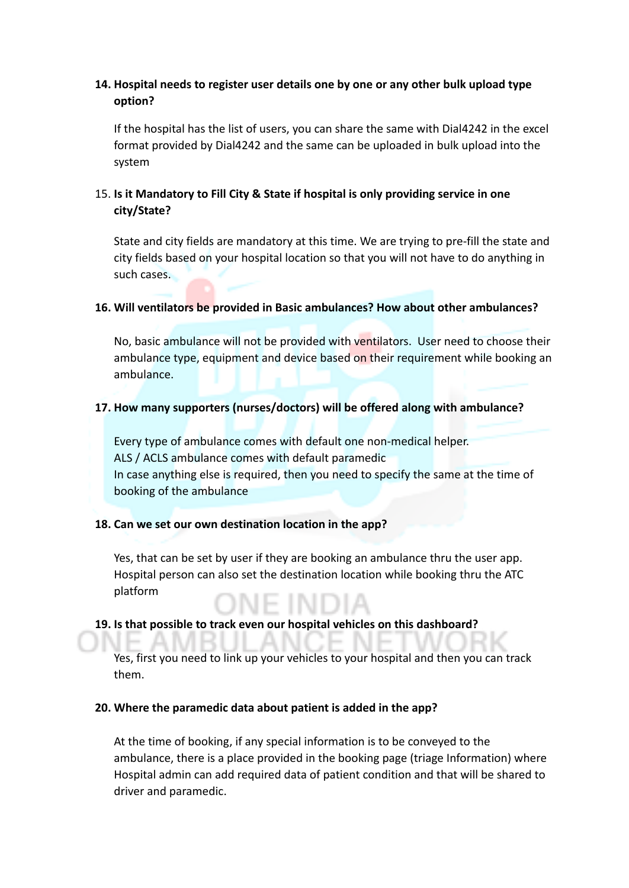## **14. Hospital needs to register user details one by one or any other bulk upload type option?**

If the hospital has the list of users, you can share the same with Dial4242 in the excel format provided by Dial4242 and the same can be uploaded in bulk upload into the system

## 15. **Is it Mandatory to Fill City & State if hospital is only providing service in one city/State?**

State and city fields are mandatory at this time. We are trying to pre-fill the state and city fields based on your hospital location so that you will not have to do anything in such cases.

#### **16. Will ventilators be provided in Basic ambulances? How about other ambulances?**

No, basic ambulance will not be provided with ventilators. User need to choose their ambulance type, equipment and device based on their requirement while booking an ambulance.

#### **17. How many supporters (nurses/doctors) will be offered along with ambulance?**

Every type of ambulance comes with default one non-medical helper. ALS / ACLS ambulance comes with default paramedic In case anything else is required, then you need to specify the same at the time of booking of the ambulance

#### **18. Can we set our own destination location in the app?**

Yes, that can be set by user if they are booking an ambulance thru the user app. Hospital person can also set the destination location while booking thru the ATC platform

#### **19. Is that possible to track even our hospital vehicles on this dashboard?**

Yes, first you need to link up your vehicles to your hospital and then you can track them.

#### **20. Where the paramedic data about patient is added in the app?**

At the time of booking, if any special information is to be conveyed to the ambulance, there is a place provided in the booking page (triage Information) where Hospital admin can add required data of patient condition and that will be shared to driver and paramedic.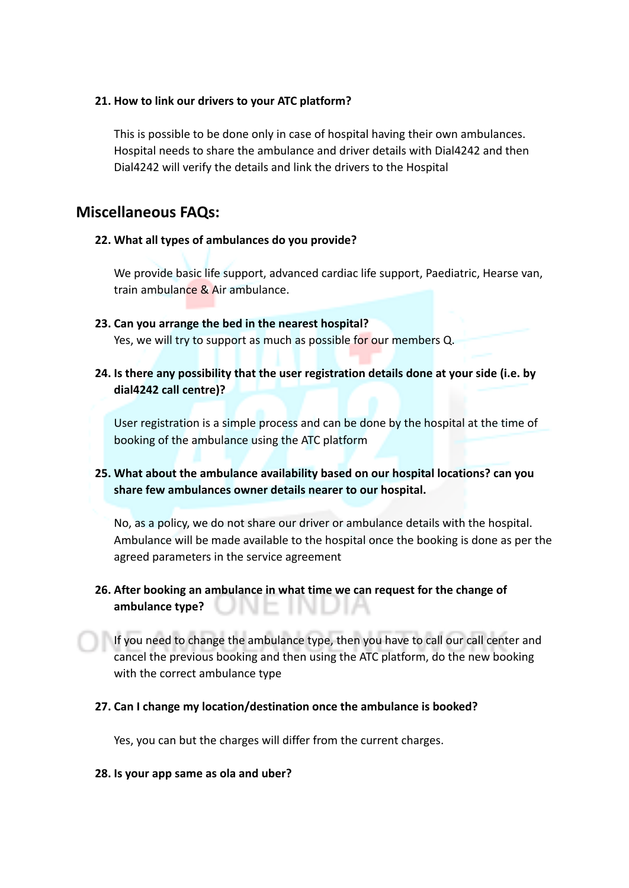#### **21. How to link our drivers to your ATC platform?**

This is possible to be done only in case of hospital having their own ambulances. Hospital needs to share the ambulance and driver details with Dial4242 and then Dial4242 will verify the details and link the drivers to the Hospital

## **Miscellaneous FAQs:**

## **22. What all types of ambulances do you provide?**

We provide basic life support, advanced cardiac life support, Paediatric, Hearse van, train ambulance & Air ambulance.

- **23. Can you arrange the bed in the nearest hospital?** Yes, we will try to support as much as possible for our members Q.
- **24. Is there any possibility that the user registration details done at your side (i.e. by dial4242 call centre)?**

User registration is a simple process and can be done by the hospital at the time of booking of the ambulance using the ATC platform

## **25. What about the ambulance availability based on our hospital locations? can you share few ambulances owner details nearer to our hospital.**

No, as a policy, we do not share our driver or ambulance details with the hospital. Ambulance will be made available to the hospital once the booking is done as per the agreed parameters in the service agreement

## **26. After booking an ambulance in what time we can request for the change of ambulance type?**

If you need to change the ambulance type, then you have to call our call center and cancel the previous booking and then using the ATC platform, do the new booking with the correct ambulance type

## **27. Can I change my location/destination once the ambulance is booked?**

Yes, you can but the charges will differ from the current charges.

#### **28. Is your app same as ola and uber?**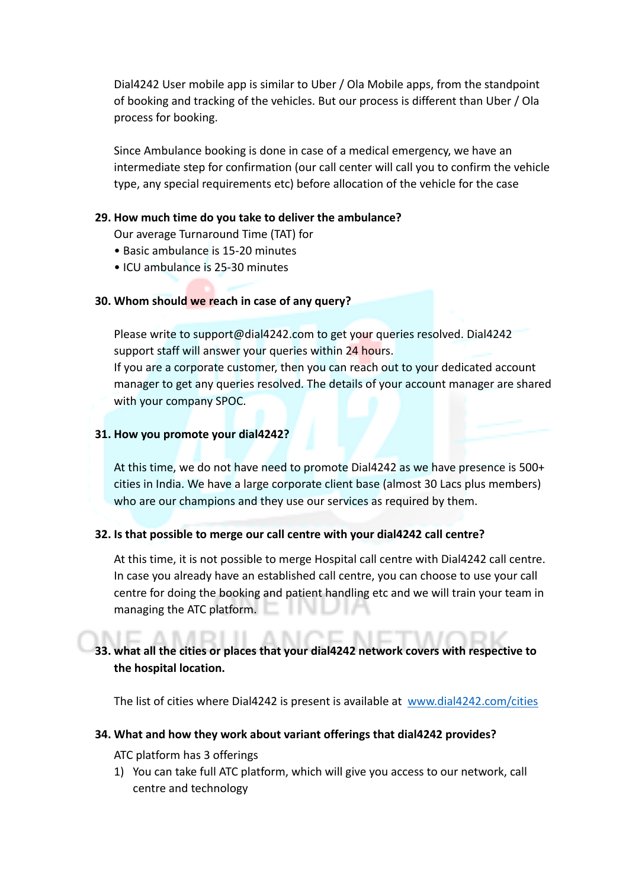Dial4242 User mobile app is similar to Uber / Ola Mobile apps, from the standpoint of booking and tracking of the vehicles. But our process is different than Uber / Ola process for booking.

Since Ambulance booking is done in case of a medical emergency, we have an intermediate step for confirmation (our call center will call you to confirm the vehicle type, any special requirements etc) before allocation of the vehicle for the case

#### **29. How much time do you take to deliver the ambulance?**

Our average Turnaround Time (TAT) for

- Basic ambulance is 15-20 minutes
- ICU ambulance is 25-30 minutes

#### **30. Whom should we reach in case of any query?**

Please write to support@dial4242.com to get your queries resolved. Dial4242 support staff will answer your queries within 24 hours.

If you are a corporate customer, then you can reach out to your dedicated account manager to get any queries resolved. The details of your account manager are shared with your company SPOC.

#### **31. How you promote your dial4242?**

At this time, we do not have need to promote Dial4242 as we have presence is 500+ cities in India. We have a large corporate client base (almost 30 Lacs plus members) who are our champions and they use our services as required by them.

## **32. Is that possible to merge our call centre with your dial4242 call centre?**

At this time, it is not possible to merge Hospital call centre with Dial4242 call centre. In case you already have an established call centre, you can choose to use your call centre for doing the booking and patient handling etc and we will train your team in managing the ATC platform.

## **33. what all the cities or places that your dial4242 network covers with respective to the hospital location.**

The list of cities where Dial4242 is present is available at [www.dial4242.com/cities](http://www.dial4242.com/cities)

#### **34. What and how they work about variant offerings that dial4242 provides?**

ATC platform has 3 offerings

1) You can take full ATC platform, which will give you access to our network, call centre and technology